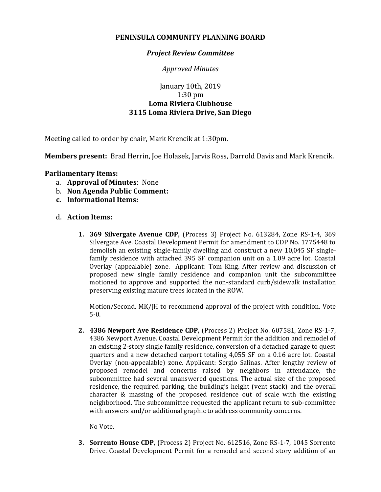## **PENINSULA COMMUNITY PLANNING BOARD**

## *Project Review Committee*

*Approved Minutes*

## January 10th, 2019 1:30 pm **Loma Riviera Clubhouse 3115 Loma Riviera Drive, San Diego**

Meeting called to order by chair, Mark Krencik at 1:30pm.

**Members present:** Brad Herrin, Joe Holasek, Jarvis Ross, Darrold Davis and Mark Krencik.

## **Parliamentary Items:**

- a. **Approval of Minutes**: None
- b. **Non Agenda Public Comment:**
- **c. Informational Items:**
- d. **Action Items:**
	- **1. 369 Silvergate Avenue CDP,** (Process 3) Project No. 613284, Zone RS-1-4, 369 Silvergate Ave. Coastal Development Permit for amendment to CDP No. 1775448 to demolish an existing single-family dwelling and construct a new 10,045 SF singlefamily residence with attached 395 SF companion unit on a 1.09 acre lot. Coastal Overlay (appealable) zone. Applicant: Tom King. After review and discussion of proposed new single family residence and companion unit the subcommittee motioned to approve and supported the non-standard curb/sidewalk installation preserving existing mature trees located in the ROW.

Motion/Second, MK/JH to recommend approval of the project with condition. Vote 5-0.

**2. 4386 Newport Ave Residence CDP,** (Process 2) Project No. 607581, Zone RS-1-7, 4386 Newport Avenue. Coastal Development Permit for the addition and remodel of an existing 2-story single family residence, conversion of a detached garage to quest quarters and a new detached carport totaling 4,055 SF on a 0.16 acre lot. Coastal Overlay (non-appealable) zone. Applicant: Sergio Salinas. After lengthy review of proposed remodel and concerns raised by neighbors in attendance, the subcommittee had several unanswered questions. The actual size of the proposed residence, the required parking, the building's height (vent stack) and the overall character & massing of the proposed residence out of scale with the existing neighborhood. The subcommittee requested the applicant return to sub-committee with answers and/or additional graphic to address community concerns.

No Vote.

**3. Sorrento House CDP,** (Process 2) Project No. 612516, Zone RS-1-7, 1045 Sorrento Drive. Coastal Development Permit for a remodel and second story addition of an